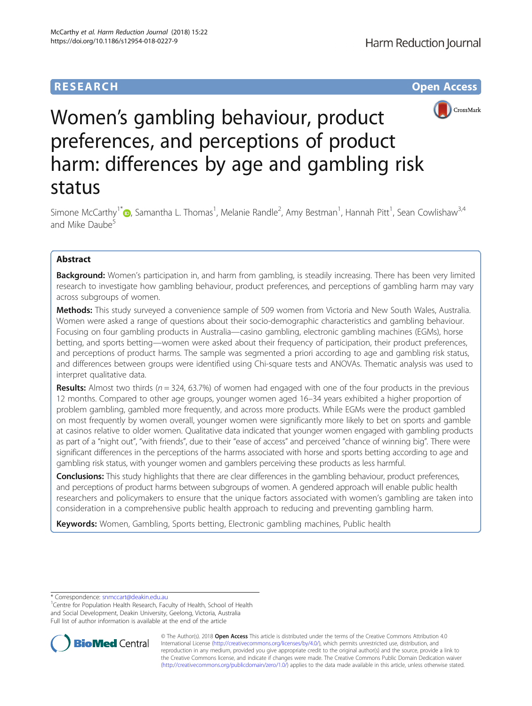# **RESEARCH CHE Open Access**



# Women's gambling behaviour, product preferences, and perceptions of product harm: differences by age and gambling risk status

Simone McCarthy<sup>1\*</sup> (@, Samantha L. Thomas<sup>1</sup>, Melanie Randle<sup>2</sup>, Amy Bestman<sup>1</sup>, Hannah Pitt<sup>1</sup>, Sean Cowlishaw<sup>3,4</sup> and Mike Daube<sup>5</sup>

# Abstract

Background: Women's participation in, and harm from gambling, is steadily increasing. There has been very limited research to investigate how gambling behaviour, product preferences, and perceptions of gambling harm may vary across subgroups of women.

Methods: This study surveyed a convenience sample of 509 women from Victoria and New South Wales, Australia. Women were asked a range of questions about their socio-demographic characteristics and gambling behaviour. Focusing on four gambling products in Australia—casino gambling, electronic gambling machines (EGMs), horse betting, and sports betting—women were asked about their frequency of participation, their product preferences, and perceptions of product harms. The sample was segmented a priori according to age and gambling risk status, and differences between groups were identified using Chi-square tests and ANOVAs. Thematic analysis was used to interpret qualitative data.

**Results:** Almost two thirds ( $n = 324, 63.7%$ ) of women had engaged with one of the four products in the previous 12 months. Compared to other age groups, younger women aged 16–34 years exhibited a higher proportion of problem gambling, gambled more frequently, and across more products. While EGMs were the product gambled on most frequently by women overall, younger women were significantly more likely to bet on sports and gamble at casinos relative to older women. Qualitative data indicated that younger women engaged with gambling products as part of a "night out", "with friends", due to their "ease of access" and perceived "chance of winning big". There were significant differences in the perceptions of the harms associated with horse and sports betting according to age and gambling risk status, with younger women and gamblers perceiving these products as less harmful.

Conclusions: This study highlights that there are clear differences in the gambling behaviour, product preferences, and perceptions of product harms between subgroups of women. A gendered approach will enable public health researchers and policymakers to ensure that the unique factors associated with women's gambling are taken into consideration in a comprehensive public health approach to reducing and preventing gambling harm.

Keywords: Women, Gambling, Sports betting, Electronic gambling machines, Public health

\* Correspondence: [snmccart@deakin.edu.au](mailto:snmccart@deakin.edu.au) <sup>1</sup>

<sup>1</sup> Centre for Population Health Research, Faculty of Health, School of Health and Social Development, Deakin University, Geelong, Victoria, Australia Full list of author information is available at the end of the article



© The Author(s). 2018 Open Access This article is distributed under the terms of the Creative Commons Attribution 4.0 International License [\(http://creativecommons.org/licenses/by/4.0/](http://creativecommons.org/licenses/by/4.0/)), which permits unrestricted use, distribution, and reproduction in any medium, provided you give appropriate credit to the original author(s) and the source, provide a link to the Creative Commons license, and indicate if changes were made. The Creative Commons Public Domain Dedication waiver [\(http://creativecommons.org/publicdomain/zero/1.0/](http://creativecommons.org/publicdomain/zero/1.0/)) applies to the data made available in this article, unless otherwise stated.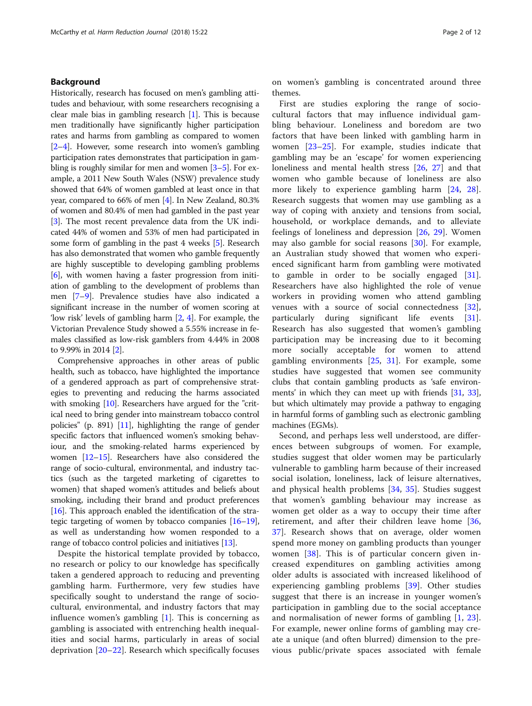# Background

Historically, research has focused on men's gambling attitudes and behaviour, with some researchers recognising a clear male bias in gambling research [\[1\]](#page-10-0). This is because men traditionally have significantly higher participation rates and harms from gambling as compared to women [[2](#page-10-0)–[4](#page-10-0)]. However, some research into women's gambling participation rates demonstrates that participation in gambling is roughly similar for men and women [\[3](#page-10-0)–[5\]](#page-10-0). For example, a 2011 New South Wales (NSW) prevalence study showed that 64% of women gambled at least once in that year, compared to 66% of men [[4\]](#page-10-0). In New Zealand, 80.3% of women and 80.4% of men had gambled in the past year [[3\]](#page-10-0). The most recent prevalence data from the UK indicated 44% of women and 53% of men had participated in some form of gambling in the past 4 weeks [\[5](#page-10-0)]. Research has also demonstrated that women who gamble frequently are highly susceptible to developing gambling problems [[6\]](#page-10-0), with women having a faster progression from initiation of gambling to the development of problems than men [\[7](#page-10-0)–[9\]](#page-10-0). Prevalence studies have also indicated a significant increase in the number of women scoring at 'low risk' levels of gambling harm [\[2,](#page-10-0) [4](#page-10-0)]. For example, the Victorian Prevalence Study showed a 5.55% increase in females classified as low-risk gamblers from 4.44% in 2008 to 9.99% in 2014 [[2\]](#page-10-0).

Comprehensive approaches in other areas of public health, such as tobacco, have highlighted the importance of a gendered approach as part of comprehensive strategies to preventing and reducing the harms associated with smoking [\[10](#page-10-0)]. Researchers have argued for the "critical need to bring gender into mainstream tobacco control policies" (p. 891) [[11](#page-10-0)], highlighting the range of gender specific factors that influenced women's smoking behaviour, and the smoking-related harms experienced by women [\[12](#page-10-0)–[15](#page-10-0)]. Researchers have also considered the range of socio-cultural, environmental, and industry tactics (such as the targeted marketing of cigarettes to women) that shaped women's attitudes and beliefs about smoking, including their brand and product preferences [[16](#page-10-0)]. This approach enabled the identification of the strategic targeting of women by tobacco companies [\[16](#page-10-0)–[19](#page-10-0)], as well as understanding how women responded to a range of tobacco control policies and initiatives [[13](#page-10-0)].

Despite the historical template provided by tobacco, no research or policy to our knowledge has specifically taken a gendered approach to reducing and preventing gambling harm. Furthermore, very few studies have specifically sought to understand the range of sociocultural, environmental, and industry factors that may influence women's gambling [\[1](#page-10-0)]. This is concerning as gambling is associated with entrenching health inequalities and social harms, particularly in areas of social deprivation  $[20-22]$  $[20-22]$  $[20-22]$  $[20-22]$  $[20-22]$ . Research which specifically focuses on women's gambling is concentrated around three themes.

First are studies exploring the range of sociocultural factors that may influence individual gambling behaviour. Loneliness and boredom are two factors that have been linked with gambling harm in women [[23](#page-10-0)–[25\]](#page-10-0). For example, studies indicate that gambling may be an 'escape' for women experiencing loneliness and mental health stress [[26,](#page-10-0) [27\]](#page-10-0) and that women who gamble because of loneliness are also more likely to experience gambling harm [\[24](#page-10-0), [28](#page-10-0)]. Research suggests that women may use gambling as a way of coping with anxiety and tensions from social, household, or workplace demands, and to alleviate feelings of loneliness and depression [[26](#page-10-0), [29](#page-10-0)]. Women may also gamble for social reasons [[30\]](#page-10-0). For example, an Australian study showed that women who experienced significant harm from gambling were motivated to gamble in order to be socially engaged [\[31](#page-10-0)]. Researchers have also highlighted the role of venue workers in providing women who attend gambling venues with a source of social connectedness [\[32](#page-10-0)], particularly during significant life events [\[31](#page-10-0)]. Research has also suggested that women's gambling participation may be increasing due to it becoming more socially acceptable for women to attend gambling environments  $[25, 31]$  $[25, 31]$  $[25, 31]$  $[25, 31]$  $[25, 31]$ . For example, some studies have suggested that women see community clubs that contain gambling products as 'safe environments' in which they can meet up with friends [\[31,](#page-10-0) [33](#page-10-0)], but which ultimately may provide a pathway to engaging in harmful forms of gambling such as electronic gambling machines (EGMs).

Second, and perhaps less well understood, are differences between subgroups of women. For example, studies suggest that older women may be particularly vulnerable to gambling harm because of their increased social isolation, loneliness, lack of leisure alternatives, and physical health problems [[34,](#page-10-0) [35](#page-11-0)]. Studies suggest that women's gambling behaviour may increase as women get older as a way to occupy their time after retirement, and after their children leave home [\[36](#page-11-0), [37\]](#page-11-0). Research shows that on average, older women spend more money on gambling products than younger women [[38](#page-11-0)]. This is of particular concern given increased expenditures on gambling activities among older adults is associated with increased likelihood of experiencing gambling problems [[39](#page-11-0)]. Other studies suggest that there is an increase in younger women's participation in gambling due to the social acceptance and normalisation of newer forms of gambling [[1](#page-10-0), [23](#page-10-0)]. For example, newer online forms of gambling may create a unique (and often blurred) dimension to the previous public/private spaces associated with female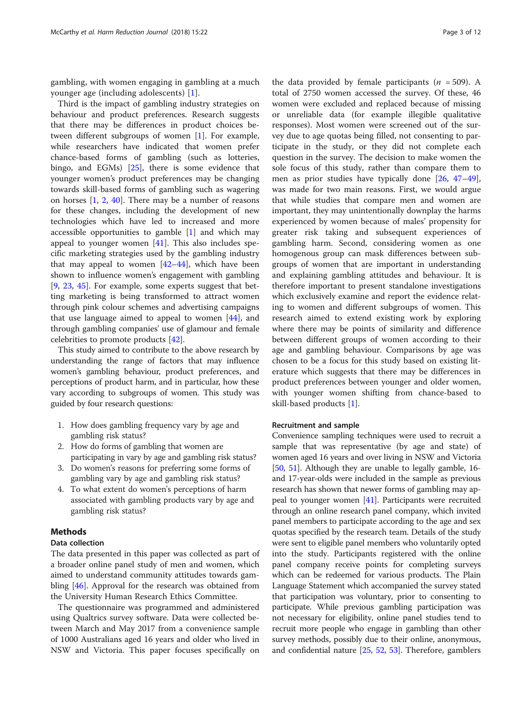gambling, with women engaging in gambling at a much younger age (including adolescents) [\[1](#page-10-0)].

Third is the impact of gambling industry strategies on behaviour and product preferences. Research suggests that there may be differences in product choices between different subgroups of women [\[1](#page-10-0)]. For example, while researchers have indicated that women prefer chance-based forms of gambling (such as lotteries, bingo, and EGMs) [\[25](#page-10-0)], there is some evidence that younger women's product preferences may be changing towards skill-based forms of gambling such as wagering on horses  $[1, 2, 40]$  $[1, 2, 40]$  $[1, 2, 40]$  $[1, 2, 40]$  $[1, 2, 40]$  $[1, 2, 40]$ . There may be a number of reasons for these changes, including the development of new technologies which have led to increased and more accessible opportunities to gamble  $[1]$  $[1]$  and which may appeal to younger women [\[41\]](#page-11-0). This also includes specific marketing strategies used by the gambling industry that may appeal to women  $[42-44]$  $[42-44]$  $[42-44]$ , which have been shown to influence women's engagement with gambling [[9,](#page-10-0) [23](#page-10-0), [45](#page-11-0)]. For example, some experts suggest that betting marketing is being transformed to attract women through pink colour schemes and advertising campaigns that use language aimed to appeal to women [\[44](#page-11-0)], and through gambling companies' use of glamour and female celebrities to promote products [[42\]](#page-11-0).

This study aimed to contribute to the above research by understanding the range of factors that may influence women's gambling behaviour, product preferences, and perceptions of product harm, and in particular, how these vary according to subgroups of women. This study was guided by four research questions:

- 1. How does gambling frequency vary by age and gambling risk status?
- 2. How do forms of gambling that women are participating in vary by age and gambling risk status?
- 3. Do women's reasons for preferring some forms of gambling vary by age and gambling risk status?
- 4. To what extent do women's perceptions of harm associated with gambling products vary by age and gambling risk status?

# Methods

# Data collection

The data presented in this paper was collected as part of a broader online panel study of men and women, which aimed to understand community attitudes towards gam-bling [[46\]](#page-11-0). Approval for the research was obtained from the University Human Research Ethics Committee.

The questionnaire was programmed and administered using Qualtrics survey software. Data were collected between March and May 2017 from a convenience sample of 1000 Australians aged 16 years and older who lived in NSW and Victoria. This paper focuses specifically on

the data provided by female participants ( $n = 509$ ). A total of 2750 women accessed the survey. Of these, 46 women were excluded and replaced because of missing or unreliable data (for example illegible qualitative responses). Most women were screened out of the survey due to age quotas being filled, not consenting to participate in the study, or they did not complete each question in the survey. The decision to make women the sole focus of this study, rather than compare them to men as prior studies have typically done [[26](#page-10-0), [47](#page-11-0)–[49](#page-11-0)], was made for two main reasons. First, we would argue that while studies that compare men and women are important, they may unintentionally downplay the harms experienced by women because of males' propensity for greater risk taking and subsequent experiences of gambling harm. Second, considering women as one homogenous group can mask differences between subgroups of women that are important in understanding and explaining gambling attitudes and behaviour. It is therefore important to present standalone investigations which exclusively examine and report the evidence relating to women and different subgroups of women. This research aimed to extend existing work by exploring where there may be points of similarity and difference between different groups of women according to their age and gambling behaviour. Comparisons by age was chosen to be a focus for this study based on existing literature which suggests that there may be differences in product preferences between younger and older women, with younger women shifting from chance-based to skill-based products [[1\]](#page-10-0).

## Recruitment and sample

Convenience sampling techniques were used to recruit a sample that was representative (by age and state) of women aged 16 years and over living in NSW and Victoria [[50](#page-11-0), [51\]](#page-11-0). Although they are unable to legally gamble, 16 and 17-year-olds were included in the sample as previous research has shown that newer forms of gambling may appeal to younger women [[41](#page-11-0)]. Participants were recruited through an online research panel company, which invited panel members to participate according to the age and sex quotas specified by the research team. Details of the study were sent to eligible panel members who voluntarily opted into the study. Participants registered with the online panel company receive points for completing surveys which can be redeemed for various products. The Plain Language Statement which accompanied the survey stated that participation was voluntary, prior to consenting to participate. While previous gambling participation was not necessary for eligibility, online panel studies tend to recruit more people who engage in gambling than other survey methods, possibly due to their online, anonymous, and confidential nature [[25](#page-10-0), [52](#page-11-0), [53](#page-11-0)]. Therefore, gamblers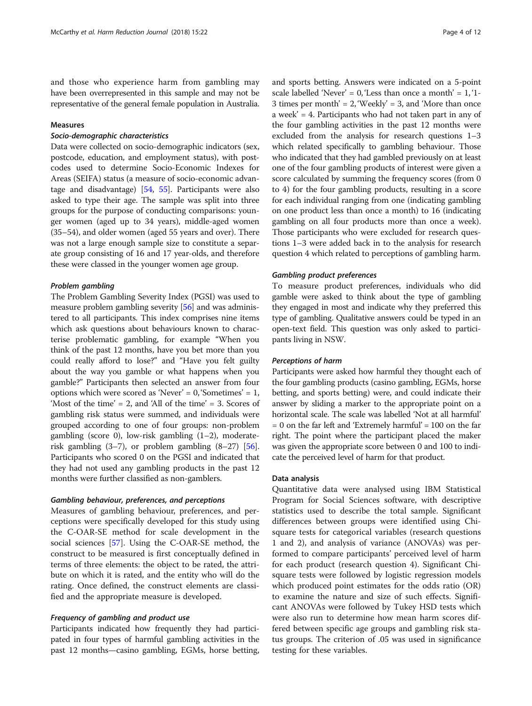and those who experience harm from gambling may have been overrepresented in this sample and may not be representative of the general female population in Australia.

# Measures

# Socio-demographic characteristics

Data were collected on socio-demographic indicators (sex, postcode, education, and employment status), with postcodes used to determine Socio-Economic Indexes for Areas (SEIFA) status (a measure of socio-economic advantage and disadvantage) [\[54,](#page-11-0) [55\]](#page-11-0). Participants were also asked to type their age. The sample was split into three groups for the purpose of conducting comparisons: younger women (aged up to 34 years), middle-aged women (35–54), and older women (aged 55 years and over). There was not a large enough sample size to constitute a separate group consisting of 16 and 17 year-olds, and therefore these were classed in the younger women age group.

# Problem gambling

The Problem Gambling Severity Index (PGSI) was used to measure problem gambling severity [\[56\]](#page-11-0) and was administered to all participants. This index comprises nine items which ask questions about behaviours known to characterise problematic gambling, for example "When you think of the past 12 months, have you bet more than you could really afford to lose?" and "Have you felt guilty about the way you gamble or what happens when you gamble?" Participants then selected an answer from four options which were scored as 'Never' = 0, 'Sometimes' = 1, 'Most of the time' = 2, and 'All of the time' = 3. Scores of gambling risk status were summed, and individuals were grouped according to one of four groups: non-problem gambling (score 0), low-risk gambling (1–2), moderaterisk gambling  $(3-7)$ , or problem gambling  $(8-27)$  [[56](#page-11-0)]. Participants who scored 0 on the PGSI and indicated that they had not used any gambling products in the past 12 months were further classified as non-gamblers.

# Gambling behaviour, preferences, and perceptions

Measures of gambling behaviour, preferences, and perceptions were specifically developed for this study using the C-OAR-SE method for scale development in the social sciences [[57\]](#page-11-0). Using the C-OAR-SE method, the construct to be measured is first conceptually defined in terms of three elements: the object to be rated, the attribute on which it is rated, and the entity who will do the rating. Once defined, the construct elements are classified and the appropriate measure is developed.

# Frequency of gambling and product use

Participants indicated how frequently they had participated in four types of harmful gambling activities in the past 12 months—casino gambling, EGMs, horse betting, and sports betting. Answers were indicated on a 5-point scale labelled 'Never' =  $0$ , 'Less than once a month' =  $1$ , '1-3 times per month' =  $2$ , 'Weekly' = 3, and 'More than once a week' = 4. Participants who had not taken part in any of the four gambling activities in the past 12 months were excluded from the analysis for research questions 1–3 which related specifically to gambling behaviour. Those who indicated that they had gambled previously on at least one of the four gambling products of interest were given a score calculated by summing the frequency scores (from 0 to 4) for the four gambling products, resulting in a score for each individual ranging from one (indicating gambling on one product less than once a month) to 16 (indicating gambling on all four products more than once a week). Those participants who were excluded for research questions 1–3 were added back in to the analysis for research question 4 which related to perceptions of gambling harm.

# Gambling product preferences

To measure product preferences, individuals who did gamble were asked to think about the type of gambling they engaged in most and indicate why they preferred this type of gambling. Qualitative answers could be typed in an open-text field. This question was only asked to participants living in NSW.

#### Perceptions of harm

Participants were asked how harmful they thought each of the four gambling products (casino gambling, EGMs, horse betting, and sports betting) were, and could indicate their answer by sliding a marker to the appropriate point on a horizontal scale. The scale was labelled 'Not at all harmful'  $= 0$  on the far left and 'Extremely harmful'  $= 100$  on the far right. The point where the participant placed the maker was given the appropriate score between 0 and 100 to indicate the perceived level of harm for that product.

#### Data analysis

Quantitative data were analysed using IBM Statistical Program for Social Sciences software, with descriptive statistics used to describe the total sample. Significant differences between groups were identified using Chisquare tests for categorical variables (research questions 1 and 2), and analysis of variance (ANOVAs) was performed to compare participants' perceived level of harm for each product (research question 4). Significant Chisquare tests were followed by logistic regression models which produced point estimates for the odds ratio (OR) to examine the nature and size of such effects. Significant ANOVAs were followed by Tukey HSD tests which were also run to determine how mean harm scores differed between specific age groups and gambling risk status groups. The criterion of .05 was used in significance testing for these variables.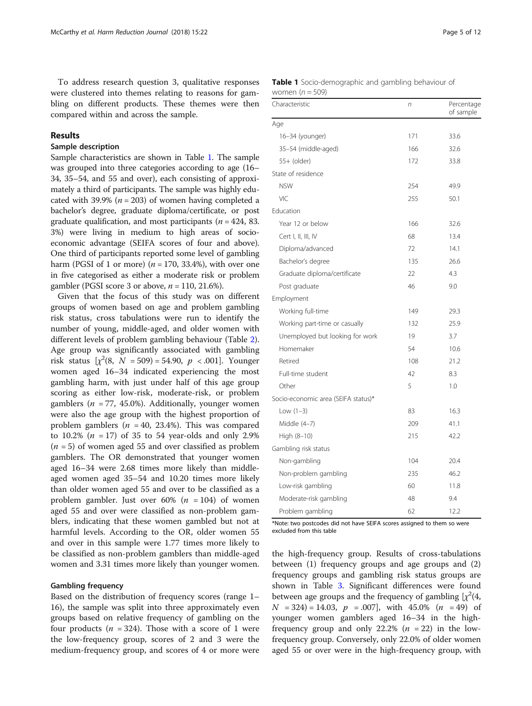To address research question 3, qualitative responses were clustered into themes relating to reasons for gambling on different products. These themes were then compared within and across the sample.

# Results

# Sample description

Sample characteristics are shown in Table 1. The sample was grouped into three categories according to age (16– 34, 35–54, and 55 and over), each consisting of approximately a third of participants. The sample was highly educated with 39.9% ( $n = 203$ ) of women having completed a bachelor's degree, graduate diploma/certificate, or post graduate qualification, and most participants ( $n = 424, 83$ . 3%) were living in medium to high areas of socioeconomic advantage (SEIFA scores of four and above). One third of participants reported some level of gambling harm (PGSI of 1 or more) ( $n = 170, 33.4\%$ ), with over one in five categorised as either a moderate risk or problem gambler (PGSI score 3 or above,  $n = 110, 21.6\%$ ).

Given that the focus of this study was on different groups of women based on age and problem gambling risk status, cross tabulations were run to identify the number of young, middle-aged, and older women with different levels of problem gambling behaviour (Table [2](#page-5-0)). Age group was significantly associated with gambling risk status  $[\chi^2(8, N = 509) = 54.90, p < .001]$ . Younger women aged 16–34 indicated experiencing the most gambling harm, with just under half of this age group scoring as either low-risk, moderate-risk, or problem gamblers ( $n = 77, 45.0\%$ ). Additionally, younger women were also the age group with the highest proportion of problem gamblers ( $n = 40, 23.4\%$ ). This was compared to 10.2% ( $n = 17$ ) of 35 to 54 year-olds and only 2.9%  $(n = 5)$  of women aged 55 and over classified as problem gamblers. The OR demonstrated that younger women aged 16–34 were 2.68 times more likely than middleaged women aged 35–54 and 10.20 times more likely than older women aged 55 and over to be classified as a problem gambler. Just over 60% ( $n = 104$ ) of women aged 55 and over were classified as non-problem gamblers, indicating that these women gambled but not at harmful levels. According to the OR, older women 55 and over in this sample were 1.77 times more likely to be classified as non-problem gamblers than middle-aged women and 3.31 times more likely than younger women.

# Gambling frequency

Based on the distribution of frequency scores (range 1– 16), the sample was split into three approximately even groups based on relative frequency of gambling on the four products ( $n = 324$ ). Those with a score of 1 were the low-frequency group, scores of 2 and 3 were the medium-frequency group, and scores of 4 or more were

| <b>Table 1</b> Socio-demographic and gambling behaviour of |  |  |
|------------------------------------------------------------|--|--|
| women ( <i>n</i> = 509)                                    |  |  |

| Characteristic                      | n   | Percentage<br>of sample |
|-------------------------------------|-----|-------------------------|
| Age                                 |     |                         |
| 16–34 (younger)                     | 171 | 33.6                    |
| 35-54 (middle-aged)                 | 166 | 32.6                    |
| 55+ (older)                         | 172 | 33.8                    |
| State of residence                  |     |                         |
| <b>NSW</b>                          | 254 | 49.9                    |
| VIC.                                | 255 | 50.1                    |
| Education                           |     |                         |
| Year 12 or below                    | 166 | 32.6                    |
| Cert I, II, III, IV                 | 68  | 13.4                    |
| Diploma/advanced                    | 72  | 14.1                    |
| Bachelor's degree                   | 135 | 26.6                    |
| Graduate diploma/certificate        | 22  | 4.3                     |
| Post graduate                       | 46  | 9.0                     |
| Employment                          |     |                         |
| Working full-time                   | 149 | 29.3                    |
| Working part-time or casually       | 132 | 25.9                    |
| Unemployed but looking for work     | 19  | 3.7                     |
| Homemaker                           | 54  | 10.6                    |
| Retired                             | 108 | 21.2                    |
| Full-time student                   | 42  | 8.3                     |
| Other                               | 5   | 1.0                     |
| Socio-economic area (SEIFA status)* |     |                         |
| Low $(1-3)$                         | 83  | 16.3                    |
| Middle (4-7)                        | 209 | 41.1                    |
| High (8-10)                         | 215 | 42.2                    |
| Gambling risk status                |     |                         |
| Non-gambling                        | 104 | 20.4                    |
| Non-problem gambling                | 235 | 46.2                    |
| Low-risk gambling                   | 60  | 11.8                    |
| Moderate-risk gambling              | 48  | 9.4                     |
| Problem gambling                    | 62  | 12.2                    |

\*Note: two postcodes did not have SEIFA scores assigned to them so were excluded from this table

the high-frequency group. Results of cross-tabulations between (1) frequency groups and age groups and (2) frequency groups and gambling risk status groups are shown in Table [3](#page-5-0). Significant differences were found between age groups and the frequency of gambling  $\int \chi^2(4, \cdot)$  $N = 324$  = 14.03,  $p = .007$ , with 45.0%  $(n = 49)$  of younger women gamblers aged 16–34 in the highfrequency group and only 22.2% ( $n = 22$ ) in the lowfrequency group. Conversely, only 22.0% of older women aged 55 or over were in the high-frequency group, with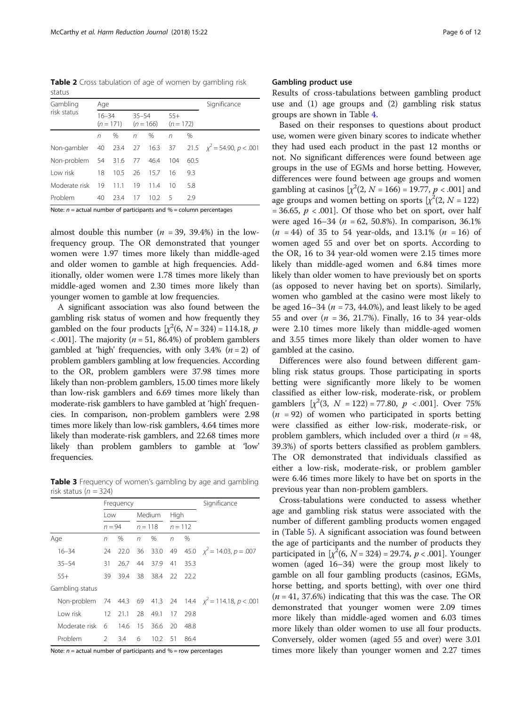<span id="page-5-0"></span>Table 2 Cross tabulation of age of women by gambling risk status

| Gambling                    | Age       |         |    | Significance                                 |            |      |                                                                   |
|-----------------------------|-----------|---------|----|----------------------------------------------|------------|------|-------------------------------------------------------------------|
| risk status                 | $16 - 34$ |         |    | 35–54<br>$(n = 171)$ $(n = 166)$ $(n = 172)$ |            |      |                                                                   |
|                             | n         | $\%$    | n  | $\frac{1}{2}$                                | $\sqrt{n}$ | $\%$ |                                                                   |
|                             |           |         |    |                                              |            |      | Non-gambler 40 23.4 27 16.3 37 21.5 $\chi^2 = 54.90$ , $p < .001$ |
| Non-problem 54 31.6 77 46.4 |           |         |    |                                              | - 104      | 60.5 |                                                                   |
| I ow risk                   | 18        |         |    | 10.5 26 15.7                                 | -16        | 9.3  |                                                                   |
| Moderate risk 19            |           | $-11.1$ |    | 19 11.4                                      | 10         | 5.8  |                                                                   |
| Problem                     | 40        | 234     | 17 | 102                                          | - 5        | 29   |                                                                   |

Note:  $n =$  actual number of participants and  $% =$  column percentages

almost double this number ( $n = 39, 39.4%$ ) in the lowfrequency group. The OR demonstrated that younger women were 1.97 times more likely than middle-aged and older women to gamble at high frequencies. Additionally, older women were 1.78 times more likely than middle-aged women and 2.30 times more likely than younger women to gamble at low frequencies.

A significant association was also found between the gambling risk status of women and how frequently they gambled on the four products  $[\chi^2(6, N = 324) = 114.18, p$  $\langle 0.001$ . The majority (*n* = 51, 86.4%) of problem gamblers gambled at 'high' frequencies, with only 3.4%  $(n = 2)$  of problem gamblers gambling at low frequencies. According to the OR, problem gamblers were 37.98 times more likely than non-problem gamblers, 15.00 times more likely than low-risk gamblers and 6.69 times more likely than moderate-risk gamblers to have gambled at 'high' frequencies. In comparison, non-problem gamblers were 2.98 times more likely than low-risk gamblers, 4.64 times more likely than moderate-risk gamblers, and 22.68 times more likely than problem gamblers to gamble at 'low' frequencies.

Table 3 Frequency of women's gambling by age and gambling risk status ( $n = 324$ )

|                                      | Frequency |                         |                              |                      |      |      | Significance                                                    |  |
|--------------------------------------|-----------|-------------------------|------------------------------|----------------------|------|------|-----------------------------------------------------------------|--|
|                                      | Low       |                         | Medium                       |                      | High |      |                                                                 |  |
|                                      |           |                         | $n = 94$ $n = 118$ $n = 112$ |                      |      |      |                                                                 |  |
| Age                                  | n         | %                       | n                            | $% \n n \%$          |      |      |                                                                 |  |
| $16 - 34$                            |           |                         |                              |                      |      |      | 24 22.0 36 33.0 49 45.0 $\chi^2 = 14.03$ , $p = .007$           |  |
| $35 - 54$                            | 31        |                         |                              | 26.7 44 37.9 41 35.3 |      |      |                                                                 |  |
| $55+$                                |           | 39 39.4 38 38.4 22 22.2 |                              |                      |      |      |                                                                 |  |
| Gambling status                      |           |                         |                              |                      |      |      |                                                                 |  |
|                                      |           |                         |                              |                      |      |      | Non-problem 74 44.3 69 41.3 24 14.4 $\chi^2$ = 114.18, p < .001 |  |
| I ow risk                            |           | 12 21.1 28 49.1 17 29.8 |                              |                      |      |      |                                                                 |  |
| Moderate risk 6 14.6 15 36.6 20 48.8 |           |                         |                              |                      |      |      |                                                                 |  |
| Problem                              |           | $2 \t3.4 \t6$           |                              | 10.2 51              |      | 86.4 |                                                                 |  |

Note:  $n =$  actual number of participants and  $% =$  row percentages

# Gambling product use

Results of cross-tabulations between gambling product use and (1) age groups and (2) gambling risk status groups are shown in Table [4](#page-6-0).

Based on their responses to questions about product use, women were given binary scores to indicate whether they had used each product in the past 12 months or not. No significant differences were found between age groups in the use of EGMs and horse betting. However, differences were found between age groups and women gambling at casinos  $\left[\chi^2(2, N = 166) = 19.77, p < .001\right]$  and age groups and women betting on sports  $[\chi^2(2, N = 122)]$  $= 36.65, p < .001$ . Of those who bet on sport, over half were aged  $16-34$  ( $n = 62, 50.8\%$ ). In comparison, 36.1%  $(n = 44)$  of 35 to 54 year-olds, and 13.1%  $(n = 16)$  of women aged 55 and over bet on sports. According to the OR, 16 to 34 year-old women were 2.15 times more likely than middle-aged women and 6.84 times more likely than older women to have previously bet on sports (as opposed to never having bet on sports). Similarly, women who gambled at the casino were most likely to be aged  $16-34$  ( $n = 73, 44.0\%$ ), and least likely to be aged 55 and over ( $n = 36, 21.7\%$ ). Finally, 16 to 34 year-olds were 2.10 times more likely than middle-aged women and 3.55 times more likely than older women to have gambled at the casino.

Differences were also found between different gambling risk status groups. Those participating in sports betting were significantly more likely to be women classified as either low-risk, moderate-risk, or problem gamblers  $\left[\chi^2(3, N = 122) = 77.80, p < .001\right]$ . Over 75%  $(n = 92)$  of women who participated in sports betting were classified as either low-risk, moderate-risk, or problem gamblers, which included over a third ( $n = 48$ , 39.3%) of sports betters classified as problem gamblers. The OR demonstrated that individuals classified as either a low-risk, moderate-risk, or problem gambler were 6.46 times more likely to have bet on sports in the previous year than non-problem gamblers.

Cross-tabulations were conducted to assess whether age and gambling risk status were associated with the number of different gambling products women engaged in (Table [5\)](#page-6-0). A significant association was found between the age of participants and the number of products they participated in  $[x^2(6, N = 324) = 29.74, p < .001]$ . Younger women (aged 16–34) were the group most likely to gamble on all four gambling products (casinos, EGMs, horse betting, and sports betting), with over one third  $(n = 41, 37.6%)$  indicating that this was the case. The OR demonstrated that younger women were 2.09 times more likely than middle-aged women and 6.03 times more likely than older women to use all four products. Conversely, older women (aged 55 and over) were 3.01 times more likely than younger women and 2.27 times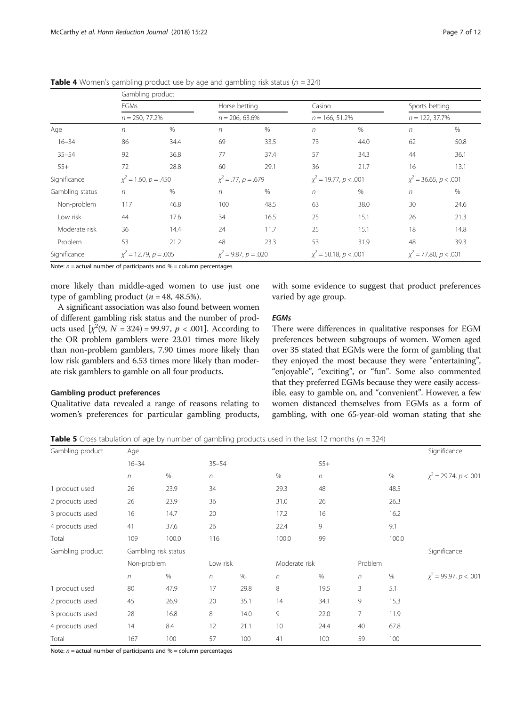|                 | Gambling product        |      |            |                                    |            |                            |            |                                    |  |  |  |  |
|-----------------|-------------------------|------|------------|------------------------------------|------------|----------------------------|------------|------------------------------------|--|--|--|--|
|                 | EGMs                    |      |            | Horse betting<br>$n = 206, 63.6\%$ |            | Casino<br>$n = 166, 51.2%$ |            | Sports betting<br>$n = 122, 37.7%$ |  |  |  |  |
| Age             | $n = 250, 77.2%$        |      |            |                                    |            |                            |            |                                    |  |  |  |  |
|                 | $\sqrt{n}$              | %    | $\sqrt{n}$ | $\%$                               | $\sqrt{n}$ | %                          | $\sqrt{n}$ | %                                  |  |  |  |  |
| $16 - 34$       | 86                      | 34.4 | 69         | 33.5                               | 73         | 44.0                       | 62         | 50.8                               |  |  |  |  |
| $35 - 54$       | 92                      | 36.8 | 77         | 37.4                               | 57         | 34.3                       | 44         | 36.1                               |  |  |  |  |
| $55+$           | 72                      | 28.8 | 60         | 29.1                               | 36         | 21.7                       | 16         | 13.1                               |  |  |  |  |
| Significance    | $x^2 = 1.60, p = .450$  |      |            | $x^2 = 0.77$ , $p = 0.679$         |            | $\chi^2$ = 19.77, p < .001 |            | $x^2$ = 36.65, p < .001            |  |  |  |  |
| Gambling status | $\sqrt{n}$              | %    | n          | %                                  | $\sqrt{n}$ | %                          | $\sqrt{n}$ | %                                  |  |  |  |  |
| Non-problem     | 117                     | 46.8 | 100        | 48.5                               | 63         | 38.0                       | 30         | 24.6                               |  |  |  |  |
| Low risk        | 44                      | 17.6 | 34         | 16.5                               | 25         | 15.1                       | 26         | 21.3                               |  |  |  |  |
| Moderate risk   | 36                      | 14.4 | 24         | 11.7                               | 25         | 15.1                       | 18         | 14.8                               |  |  |  |  |
| Problem         | 53                      | 21.2 | 48         | 23.3                               | 53         | 31.9                       | 48         | 39.3                               |  |  |  |  |
| Significance    | $x^2$ = 12.79, p = .005 |      |            | $x^2 = 9.87, p = .020$             |            | $x^2$ = 50.18, p < .001    |            | $\chi^2$ = 77.80, $p < .001$       |  |  |  |  |

<span id="page-6-0"></span>**Table 4** Women's gambling product use by age and gambling risk status ( $n = 324$ )

Note:  $n =$  actual number of participants and % = column percentages

more likely than middle-aged women to use just one type of gambling product  $(n = 48, 48.5\%).$ 

A significant association was also found between women of different gambling risk status and the number of products used  $[\chi^2(9, N = 324) = 99.97, p < .001]$ . According to the OR problem gamblers were 23.01 times more likely than non-problem gamblers, 7.90 times more likely than low risk gamblers and 6.53 times more likely than moderate risk gamblers to gamble on all four products.

# Gambling product preferences

Qualitative data revealed a range of reasons relating to women's preferences for particular gambling products, with some evidence to suggest that product preferences varied by age group.

# EGMs

There were differences in qualitative responses for EGM preferences between subgroups of women. Women aged over 35 stated that EGMs were the form of gambling that they enjoyed the most because they were "entertaining", "enjoyable", "exciting", or "fun". Some also commented that they preferred EGMs because they were easily accessible, easy to gamble on, and "convenient". However, a few women distanced themselves from EGMs as a form of gambling, with one 65-year-old woman stating that she

**Table 5** Cross tabulation of age by number of gambling products used in the last 12 months ( $n = 324$ )

| Gambling product | Age         | Significance         |            |           |        |               |                |         |                            |
|------------------|-------------|----------------------|------------|-----------|--------|---------------|----------------|---------|----------------------------|
|                  | $16 - 34$   |                      |            | $35 - 54$ |        | $55+$         |                |         |                            |
|                  | $\sqrt{n}$  | $\%$                 | $\eta$     |           | $\%$   | $\eta$        |                | %       | $\chi^2$ = 29.74, p < .001 |
| 1 product used   | 26          | 23.9                 | 34         |           | 29.3   | 48            |                | 48.5    |                            |
| 2 products used  | 26          | 23.9                 | 36         |           | 31.0   | 26            |                | 26.3    |                            |
| 3 products used  | 16          | 14.7                 | 20         |           | 17.2   | 16            |                | 16.2    |                            |
| 4 products used  | 41          | 37.6                 | 26         |           | 22.4   | 9             |                | 9.1     |                            |
| Total            | 109         | 100.0                | 116        |           | 100.0  | 99            |                | 100.0   |                            |
| Gambling product |             | Gambling risk status |            |           |        |               |                |         | Significance               |
|                  | Non-problem |                      |            | Low risk  |        | Moderate risk |                | Problem |                            |
|                  | $\eta$      | $\%$                 | $\sqrt{n}$ | %         | $\eta$ | $\%$          | $\eta$         | $\%$    | $\chi^2$ = 99.97, p < .001 |
| 1 product used   | 80          | 47.9                 | 17         | 29.8      | 8      | 19.5          | 3              | 5.1     |                            |
| 2 products used  | 45          | 26.9                 | 20         | 35.1      | 14     | 34.1          | 9              | 15.3    |                            |
| 3 products used  | 28          | 16.8                 | 8          | 14.0      | 9      | 22.0          | $\overline{7}$ | 11.9    |                            |
| 4 products used  | 14          | 8.4                  | 12         | 21.1      | 10     | 24.4          | 40             | 67.8    |                            |
| Total            | 167         | 100                  | 57         | 100       | 41     | 100           | 59             | 100     |                            |

Note:  $n =$  actual number of participants and  $% =$  column percentages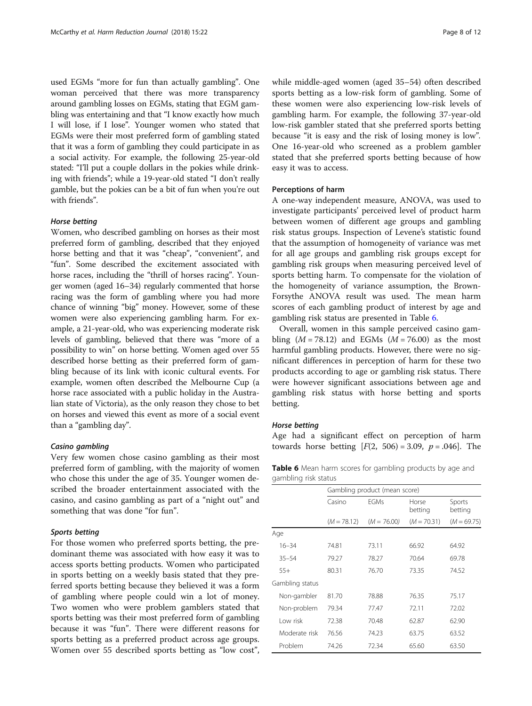used EGMs "more for fun than actually gambling". One woman perceived that there was more transparency around gambling losses on EGMs, stating that EGM gambling was entertaining and that "I know exactly how much I will lose, if I lose". Younger women who stated that EGMs were their most preferred form of gambling stated that it was a form of gambling they could participate in as a social activity. For example, the following 25-year-old stated: "I'll put a couple dollars in the pokies while drinking with friends"; while a 19-year-old stated "I don't really gamble, but the pokies can be a bit of fun when you're out with friends".

# Horse betting

Women, who described gambling on horses as their most preferred form of gambling, described that they enjoyed horse betting and that it was "cheap", "convenient", and "fun". Some described the excitement associated with horse races, including the "thrill of horses racing". Younger women (aged 16–34) regularly commented that horse racing was the form of gambling where you had more chance of winning "big" money. However, some of these women were also experiencing gambling harm. For example, a 21-year-old, who was experiencing moderate risk levels of gambling, believed that there was "more of a possibility to win" on horse betting. Women aged over 55 described horse betting as their preferred form of gambling because of its link with iconic cultural events. For example, women often described the Melbourne Cup (a horse race associated with a public holiday in the Australian state of Victoria), as the only reason they chose to bet on horses and viewed this event as more of a social event than a "gambling day".

# Casino gambling

Very few women chose casino gambling as their most preferred form of gambling, with the majority of women who chose this under the age of 35. Younger women described the broader entertainment associated with the casino, and casino gambling as part of a "night out" and something that was done "for fun".

#### Sports betting

For those women who preferred sports betting, the predominant theme was associated with how easy it was to access sports betting products. Women who participated in sports betting on a weekly basis stated that they preferred sports betting because they believed it was a form of gambling where people could win a lot of money. Two women who were problem gamblers stated that sports betting was their most preferred form of gambling because it was "fun". There were different reasons for sports betting as a preferred product across age groups. Women over 55 described sports betting as "low cost", while middle-aged women (aged 35–54) often described sports betting as a low-risk form of gambling. Some of these women were also experiencing low-risk levels of gambling harm. For example, the following 37-year-old low-risk gambler stated that she preferred sports betting because "it is easy and the risk of losing money is low". One 16-year-old who screened as a problem gambler stated that she preferred sports betting because of how easy it was to access.

# Perceptions of harm

A one-way independent measure, ANOVA, was used to investigate participants' perceived level of product harm between women of different age groups and gambling risk status groups. Inspection of Levene's statistic found that the assumption of homogeneity of variance was met for all age groups and gambling risk groups except for gambling risk groups when measuring perceived level of sports betting harm. To compensate for the violation of the homogeneity of variance assumption, the Brown-Forsythe ANOVA result was used. The mean harm scores of each gambling product of interest by age and gambling risk status are presented in Table 6.

Overall, women in this sample perceived casino gambling  $(M = 78.12)$  and EGMs  $(M = 76.00)$  as the most harmful gambling products. However, there were no significant differences in perception of harm for these two products according to age or gambling risk status. There were however significant associations between age and gambling risk status with horse betting and sports betting.

#### Horse betting

Age had a significant effect on perception of harm towards horse betting  $[F(2, 506) = 3.09, p = .046]$ . The

Table 6 Mean harm scores for gambling products by age and gambling risk status

|                 | Gambling product (mean score) |               |                  |                   |  |  |  |  |
|-----------------|-------------------------------|---------------|------------------|-------------------|--|--|--|--|
|                 | Casino                        | <b>FGMs</b>   | Horse<br>betting | Sports<br>betting |  |  |  |  |
|                 | $(M = 78.12)$                 | $(M = 76.00)$ | $(M = 70.31)$    | $(M = 69.75)$     |  |  |  |  |
| Age             |                               |               |                  |                   |  |  |  |  |
| $16 - 34$       | 74.81                         | 73.11         | 66.92            | 64.92             |  |  |  |  |
| $35 - 54$       | 79.27                         | 78.27         | 70.64            | 69.78             |  |  |  |  |
| $55+$           | 80.31                         | 76.70         | 73.35            | 74.52             |  |  |  |  |
| Gambling status |                               |               |                  |                   |  |  |  |  |
| Non-gambler     | 81.70                         | 78.88         | 76.35            | 75.17             |  |  |  |  |
| Non-problem     | 79.34                         | 77.47         | 72.11            | 72.02             |  |  |  |  |
| I ow risk       | 72.38                         | 70.48         | 62.87            | 62.90             |  |  |  |  |
| Moderate risk   | 76.56                         | 74.23         | 63.75            | 63.52             |  |  |  |  |
| Problem         | 74.26                         | 72.34         | 65.60            | 63.50             |  |  |  |  |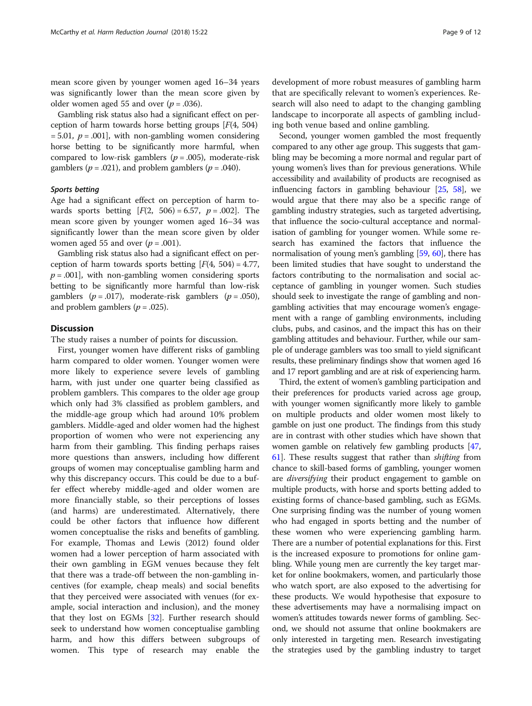mean score given by younger women aged 16–34 years was significantly lower than the mean score given by older women aged 55 and over ( $p = .036$ ).

Gambling risk status also had a significant effect on perception of harm towards horse betting groups [F(4, 504)  $= 5.01$ ,  $p = .001$ , with non-gambling women considering horse betting to be significantly more harmful, when compared to low-risk gamblers ( $p = .005$ ), moderate-risk gamblers ( $p = .021$ ), and problem gamblers ( $p = .040$ ).

# Sports betting

Age had a significant effect on perception of harm towards sports betting  $[F(2, 506) = 6.57, p = .002]$ . The mean score given by younger women aged 16–34 was significantly lower than the mean score given by older women aged 55 and over  $(p=.001)$ .

Gambling risk status also had a significant effect on perception of harm towards sports betting  $[F(4, 504) = 4.77]$ ,  $p = .001$ , with non-gambling women considering sports betting to be significantly more harmful than low-risk gamblers ( $p = .017$ ), moderate-risk gamblers ( $p = .050$ ), and problem gamblers ( $p = .025$ ).

# **Discussion**

The study raises a number of points for discussion.

First, younger women have different risks of gambling harm compared to older women. Younger women were more likely to experience severe levels of gambling harm, with just under one quarter being classified as problem gamblers. This compares to the older age group which only had 3% classified as problem gamblers, and the middle-age group which had around 10% problem gamblers. Middle-aged and older women had the highest proportion of women who were not experiencing any harm from their gambling. This finding perhaps raises more questions than answers, including how different groups of women may conceptualise gambling harm and why this discrepancy occurs. This could be due to a buffer effect whereby middle-aged and older women are more financially stable, so their perceptions of losses (and harms) are underestimated. Alternatively, there could be other factors that influence how different women conceptualise the risks and benefits of gambling. For example, Thomas and Lewis (2012) found older women had a lower perception of harm associated with their own gambling in EGM venues because they felt that there was a trade-off between the non-gambling incentives (for example, cheap meals) and social benefits that they perceived were associated with venues (for example, social interaction and inclusion), and the money that they lost on EGMs [[32](#page-10-0)]. Further research should seek to understand how women conceptualise gambling harm, and how this differs between subgroups of women. This type of research may enable the

development of more robust measures of gambling harm that are specifically relevant to women's experiences. Research will also need to adapt to the changing gambling landscape to incorporate all aspects of gambling including both venue based and online gambling.

Second, younger women gambled the most frequently compared to any other age group. This suggests that gambling may be becoming a more normal and regular part of young women's lives than for previous generations. While accessibility and availability of products are recognised as influencing factors in gambling behaviour [\[25,](#page-10-0) [58\]](#page-11-0), we would argue that there may also be a specific range of gambling industry strategies, such as targeted advertising, that influence the socio-cultural acceptance and normalisation of gambling for younger women. While some research has examined the factors that influence the normalisation of young men's gambling [\[59](#page-11-0), [60\]](#page-11-0), there has been limited studies that have sought to understand the factors contributing to the normalisation and social acceptance of gambling in younger women. Such studies should seek to investigate the range of gambling and nongambling activities that may encourage women's engagement with a range of gambling environments, including clubs, pubs, and casinos, and the impact this has on their gambling attitudes and behaviour. Further, while our sample of underage gamblers was too small to yield significant results, these preliminary findings show that women aged 16 and 17 report gambling and are at risk of experiencing harm.

Third, the extent of women's gambling participation and their preferences for products varied across age group, with younger women significantly more likely to gamble on multiple products and older women most likely to gamble on just one product. The findings from this study are in contrast with other studies which have shown that women gamble on relatively few gambling products [[47](#page-11-0), [61](#page-11-0)]. These results suggest that rather than shifting from chance to skill-based forms of gambling, younger women are diversifying their product engagement to gamble on multiple products, with horse and sports betting added to existing forms of chance-based gambling, such as EGMs. One surprising finding was the number of young women who had engaged in sports betting and the number of these women who were experiencing gambling harm. There are a number of potential explanations for this. First is the increased exposure to promotions for online gambling. While young men are currently the key target market for online bookmakers, women, and particularly those who watch sport, are also exposed to the advertising for these products. We would hypothesise that exposure to these advertisements may have a normalising impact on women's attitudes towards newer forms of gambling. Second, we should not assume that online bookmakers are only interested in targeting men. Research investigating the strategies used by the gambling industry to target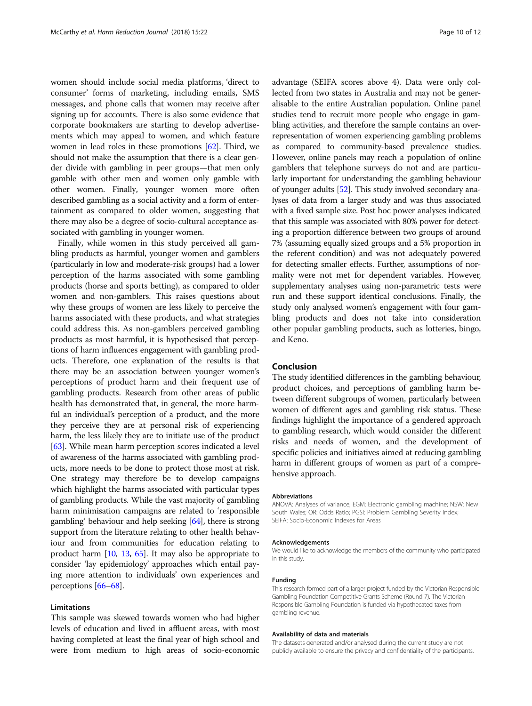women should include social media platforms, 'direct to consumer' forms of marketing, including emails, SMS messages, and phone calls that women may receive after signing up for accounts. There is also some evidence that corporate bookmakers are starting to develop advertisements which may appeal to women, and which feature women in lead roles in these promotions [[62](#page-11-0)]. Third, we should not make the assumption that there is a clear gender divide with gambling in peer groups—that men only gamble with other men and women only gamble with other women. Finally, younger women more often described gambling as a social activity and a form of entertainment as compared to older women, suggesting that there may also be a degree of socio-cultural acceptance associated with gambling in younger women.

Finally, while women in this study perceived all gambling products as harmful, younger women and gamblers (particularly in low and moderate-risk groups) had a lower perception of the harms associated with some gambling products (horse and sports betting), as compared to older women and non-gamblers. This raises questions about why these groups of women are less likely to perceive the harms associated with these products, and what strategies could address this. As non-gamblers perceived gambling products as most harmful, it is hypothesised that perceptions of harm influences engagement with gambling products. Therefore, one explanation of the results is that there may be an association between younger women's perceptions of product harm and their frequent use of gambling products. Research from other areas of public health has demonstrated that, in general, the more harmful an individual's perception of a product, and the more they perceive they are at personal risk of experiencing harm, the less likely they are to initiate use of the product [[63](#page-11-0)]. While mean harm perception scores indicated a level of awareness of the harms associated with gambling products, more needs to be done to protect those most at risk. One strategy may therefore be to develop campaigns which highlight the harms associated with particular types of gambling products. While the vast majority of gambling harm minimisation campaigns are related to 'responsible gambling' behaviour and help seeking [[64](#page-11-0)], there is strong support from the literature relating to other health behaviour and from communities for education relating to product harm [\[10,](#page-10-0) [13](#page-10-0), [65\]](#page-11-0). It may also be appropriate to consider 'lay epidemiology' approaches which entail paying more attention to individuals' own experiences and perceptions [[66](#page-11-0)–[68\]](#page-11-0).

# Limitations

This sample was skewed towards women who had higher levels of education and lived in affluent areas, with most having completed at least the final year of high school and were from medium to high areas of socio-economic advantage (SEIFA scores above 4). Data were only collected from two states in Australia and may not be generalisable to the entire Australian population. Online panel studies tend to recruit more people who engage in gambling activities, and therefore the sample contains an overrepresentation of women experiencing gambling problems as compared to community-based prevalence studies. However, online panels may reach a population of online gamblers that telephone surveys do not and are particularly important for understanding the gambling behaviour of younger adults [\[52\]](#page-11-0). This study involved secondary analyses of data from a larger study and was thus associated with a fixed sample size. Post hoc power analyses indicated that this sample was associated with 80% power for detecting a proportion difference between two groups of around 7% (assuming equally sized groups and a 5% proportion in the referent condition) and was not adequately powered for detecting smaller effects. Further, assumptions of normality were not met for dependent variables. However, supplementary analyses using non-parametric tests were run and these support identical conclusions. Finally, the study only analysed women's engagement with four gambling products and does not take into consideration other popular gambling products, such as lotteries, bingo, and Keno.

## Conclusion

The study identified differences in the gambling behaviour, product choices, and perceptions of gambling harm between different subgroups of women, particularly between women of different ages and gambling risk status. These findings highlight the importance of a gendered approach to gambling research, which would consider the different risks and needs of women, and the development of specific policies and initiatives aimed at reducing gambling harm in different groups of women as part of a comprehensive approach.

#### Abbreviations

ANOVA: Analyses of variance; EGM: Electronic gambling machine; NSW: New South Wales; OR: Odds Ratio; PGSI: Problem Gambling Severity Index; SEIFA: Socio-Economic Indexes for Areas

#### Acknowledgements

We would like to acknowledge the members of the community who participated in this study.

#### Funding

This research formed part of a larger project funded by the Victorian Responsible Gambling Foundation Competitive Grants Scheme (Round 7). The Victorian Responsible Gambling Foundation is funded via hypothecated taxes from gambling revenue.

#### Availability of data and materials

The datasets generated and/or analysed during the current study are not publicly available to ensure the privacy and confidentiality of the participants.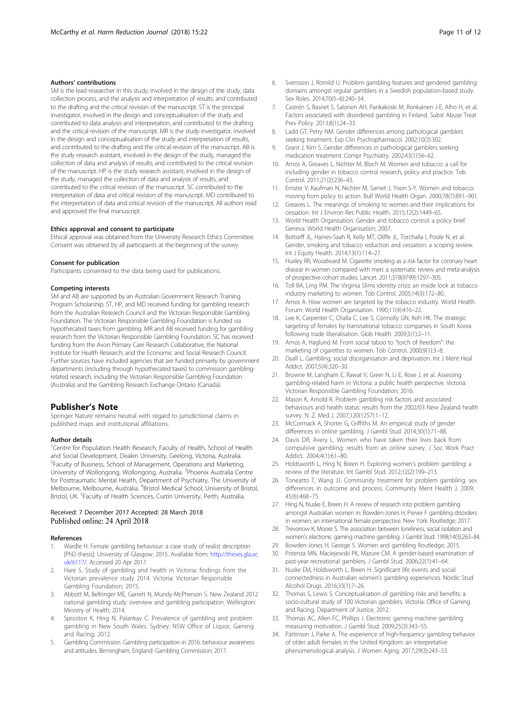# <span id="page-10-0"></span>Authors' contributions

SM is the lead researcher in this study; involved in the design of the study, data collection process, and the analysis and interpretation of results; and contributed to the drafting and the critical revision of the manuscript. ST is the principal investigator, involved in the design and conceptualisation of the study and contributed to data analysis and interpretation, and contributed to the drafting and the critical revision of the manuscript. MR is the study investigator, involved in the design and conceptualisation of the study and interpretation of results, and contributed to the drafting and the critical revision of the manuscript. AB is the study research assistant, involved in the design of the study, managed the collection of data and analysis of results, and contributed to the critical revision of the manuscript. HP is the study research assistant, involved in the design of the study, managed the collection of data and analysis of results, and contributed to the critical revision of the manuscript. SC contributed to the interpretation of data and critical revision of the manuscript. MD contributed to the interpretation of data and critical revision of the manuscript. All authors read and approved the final manuscript.

#### Ethics approval and consent to participate

Ethical approval was obtained from the University Research Ethics Committee. Consent was obtained by all participants at the beginning of the survey.

#### Consent for publication

Participants consented to the data being used for publications.

#### Competing interests

SM and AB are supported by an Australian Government Research Training Program Scholarship. ST, HP, and MD received funding for gambling research from the Australian Research Council and the Victorian Responsible Gambling Foundation. The Victorian Responsible Gambling Foundation is funded via hypothecated taxes from gambling. MR and AB received funding for gambling research from the Victorian Responsible Gambling Foundation. SC has received funding from the Avon Primary Care Research Collaborative, the National Institute for Health Research, and the Economic and Social Research Council. Further sources have included agencies that are funded primarily by government departments (including through hypothecated taxes) to commission gamblingrelated research, including the Victorian Responsible Gambling Foundation (Australia) and the Gambling Research Exchange Ontario (Canada).

# Publisher's Note

Springer Nature remains neutral with regard to jurisdictional claims in published maps and institutional affiliations.

#### Author details

<sup>1</sup>Centre for Population Health Research, Faculty of Health, School of Health and Social Development, Deakin University, Geelong, Victoria, Australia. <sup>2</sup> Faculty of Business, School of Management, Operations and Marketing, University of Wollongong, Wollongong, Australia. <sup>3</sup>Phoenix Australia Centre for Posttraumatic Mental Health, Department of Psychiatry, The University of Melbourne, Melbourne, Australia. <sup>4</sup>Bristol Medical School, University of Bristol, Bristol, UK. <sup>5</sup>Faculty of Health Sciences, Curtin University, Perth, Australia.

## Received: 7 December 2017 Accepted: 28 March 2018 Published online: 24 April 2018

#### References

- 1. Wardle H. Female gambling behaviour: a case study of realist description [PhD thesis]: University of Glasgow; 2015. Available from: [http://theses.gla.ac.](http://theses.gla.ac.uk/6117/) [uk/6117/.](http://theses.gla.ac.uk/6117/) Accessed 20 Apr 2017.
- Hare S. Study of gambling and health in Victoria: findings from the Victorian prevalence study 2014. Victoria: Victorian Responsible Gambling Foundation; 2015.
- 3. Abbott M, Bellringer ME, Garrett N, Mundy-McPherson S. New Zealand 2012 national gambling study: overview and gambling participation. Wellington: Ministry of Health; 2014.
- Sproston K, Hing N, Palankay C. Prevalence of gambling and problem gambling in New South Wales. Sydney: NSW Office of Liquor, Gaming and Racing; 2012.
- Gambling Commission. Gambling participation in 2016: behaviour awareness and attitudes. Birmingham, England: Gambling Commission; 2017.
- 6. Svensson J, Romild U. Problem gambling features and gendered gambling domains amongst regular gamblers in a Swedish population-based study. Sex Roles. 2014;70(5–6):240–54.
- 7. Castrén S, Basnet S, Salonen AH, Pankakoski M, Ronkainen J-E, Alho H, et al. Factors associated with disordered gambling in Finland. Subst Abuse Treat Prev Policy. 2013;8(1):24–33.
- 8. Ladd GT, Petry NM. Gender differences among pathological gamblers seeking treatment. Exp Clin Psychopharmacol. 2002;10(3):302.
- 9. Grant J, Kim S. Gender differences in pathological gamblers seeking medication treatment. Compr Psychiatry. 2002;43(1):56–62.
- 10. Amos A, Greaves L, Nichter M, Bloch M. Women and tobacco: a call for including gender in tobacco control research, policy and practice. Tob Control. 2011;21(2):236–43.
- 11. Ernster V, Kaufman N, Nichter M, Samet J, Yoon S-Y. Women and tobacco: moving from policy to action. Bull World Health Organ. 2000;78(7):891–901.
- 12. Greaves L. The meanings of smoking to women and their implications for cessation. Int J Environ Res Public Health. 2015;12(2):1449–65.
- 13. World Health Organisation. Gender and tobacco control: a policy brief. Geneva: World Health Organisation; 2007.
- 14. Bottorff JL, Haines-Saah R, Kelly MT, Oliffe JL, Torchalla I, Poole N, et al. Gender, smoking and tobacco reduction and cessation: a scoping review. Int J Equity Health. 2014;13(1):114–27.
- 15. Huxley RR, Woodward M. Cigarette smoking as a risk factor for coronary heart disease in women compared with men: a systematic review and meta-analysis of prospective cohort studies. Lancet. 2011;378(9799):1297–305.
- 16. Toll BA, Ling PM. The Virginia Slims identity crisis: an inside look at tobacco industry marketing to women. Tob Control. 2005;14(3):172–80.
- 17. Amos A. How women are targeted by the tobacco industry. World Health Forum: World Health Organisation. 1990;11(4):416–22.
- 18. Lee K, Carpenter C, Challa C, Lee S, Connolly GN, Koh HK. The strategic targeting of females by transnational tobacco companies in South Korea following trade liberalisation. Glob Health. 2009;5(1):2–11.
- 19. Amos A, Haglund M. From social taboo to "torch of freedom": the marketing of cigarettes to women. Tob Control. 2000;9(1):3–8.
- 20. Dyall L. Gambling, social disorganisation and deprivation. Int J Ment Heal Addict. 2007;5(4):320–30.
- 21. Browne M, Langham E, Rawat V, Greer N, Li E, Rose J, et al. Assessing gambling-related harm in Victoria: a public health perspective. Victoria: Victorian Responsible Gambling Foundation; 2016.
- 22. Mason K, Arnold R. Problem gambling risk factors and associated behaviours and health status: results from the 2002/03 New Zealand health survey. N. Z. Med J. 2007;120(1257):1–12.
- 23. McCormack A, Shorter G, Griffiths M. An empirical study of gender differences in online gambling. J Gambl Stud. 2014;30(1):71–88.
- 24. Davis DR, Avery L. Women who have taken their lives back from compulsive gambling: results from an online survey. J Soc Work Pract Addict. 2004;4(1):61–80.
- 25. Holdsworth L, Hing N, Breen H. Exploring women's problem gambling: a review of the literature. Int Gambl Stud. 2012;12(2):199–213.
- 26. Toneatto T, Wang JJ. Community treatment for problem gambling: sex differences in outcome and process. Community Ment Health J. 2009; 45(6):468–75.
- 27. Hing N, Nuske E, Breen H. A review of research into problem gambling amongst Australian women in: Bowden-Jones H, Prever F gambling disorders in women: an international female perspective. New York: Routledge; 2017.
- 28. Trevorrow K, Moore S. The association between loneliness, social isolation and women's electronic gaming machine gambling. J Gambl Stud. 1998;14(3):263–84.
- 29. Bowden-Jones H, George S. Women and gambling Routledge; 2015.
- 30. Potenza MN, Maciejewski PK, Mazure CM. A gender-based examination of past-year recreational gamblers. J Gambl Stud. 2006;22(1):41–64.
- 31. Nuske EM, Holdsworth L, Breen H. Significant life events and social connectedness in Australian women's gambling experiences. Nordic Stud Alcohol Drugs. 2016;33(1):7–26.
- 32. Thomas S, Lewis S. Conceptualisation of gambling risks and benefits: a socio-cultural study of 100 Victorian gamblers. Victoria: Office of Gaming and Racing, Department of Justice; 2012.
- 33. Thomas AC, Allen FC, Phillips J. Electronic gaming machine gambling: measuring motivation. J Gambl Stud. 2009;25(3):343–55.
- 34. Pattinson J, Parke A. The experience of high-frequency gambling behavior of older adult females in the United Kingdom: an interpretative phenomenological analysis. J Women Aging. 2017;29(3):243–53.